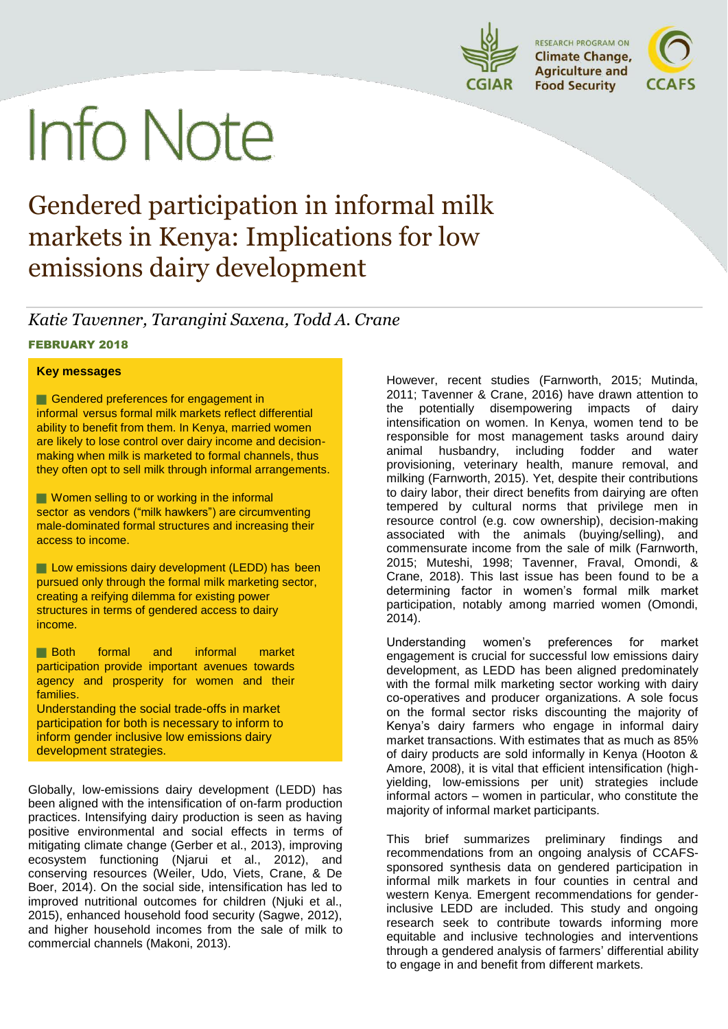

# **Info Note**

## Gendered participation in informal milk markets in Kenya: Implications for low emissions dairy development

*Katie Tavenner, Tarangini Saxena, Todd A. Crane* FEBRUARY 2018

#### **Key messages**

Gendered preferences for engagement in informal versus formal milk markets reflect differential ability to benefit from them. In Kenya, married women are likely to lose control over dairy income and decisionmaking when milk is marketed to formal channels, thus they often opt to sell milk through informal arrangements.

**Women selling to or working in the informal** sector as vendors ("milk hawkers") are circumventing male-dominated formal structures and increasing their access to income.

**Low emissions dairy development (LEDD) has been** pursued only through the formal milk marketing sector, creating a reifying dilemma for existing power structures in terms of gendered access to dairy income.

**Both** formal and informal market participation provide important avenues towards agency and prosperity for women and their families.

Understanding the social trade-offs in market participation for both is necessary to inform to inform gender inclusive low emissions dairy development strategies.

Globally, low-emissions dairy development (LEDD) has been aligned with the intensification of on-farm production practices. Intensifying dairy production is seen as having positive environmental and social effects in terms of mitigating climate change (Gerber et al., 2013), improving ecosystem functioning (Njarui et al., 2012), and conserving resources (Weiler, Udo, Viets, Crane, & De Boer, 2014). On the social side, intensification has led to improved nutritional outcomes for children (Njuki et al., 2015), enhanced household food security (Sagwe, 2012), and higher household incomes from the sale of milk to commercial channels (Makoni, 2013).

However, recent studies (Farnworth, 2015; Mutinda, 2011; Tavenner & Crane, 2016) have drawn attention to the potentially disempowering impacts of dairy intensification on women. In Kenya, women tend to be responsible for most management tasks around dairy animal husbandry, including fodder and water provisioning, veterinary health, manure removal, and milking (Farnworth, 2015). Yet, despite their contributions to dairy labor, their direct benefits from dairying are often tempered by cultural norms that privilege men in resource control (e.g. cow ownership), decision-making associated with the animals (buying/selling), and commensurate income from the sale of milk (Farnworth, 2015; Muteshi, 1998; Tavenner, Fraval, Omondi, & Crane, 2018). This last issue has been found to be a determining factor in women's formal milk market participation, notably among married women (Omondi, 2014).

Understanding women's preferences for market engagement is crucial for successful low emissions dairy development, as LEDD has been aligned predominately with the formal milk marketing sector working with dairy co-operatives and producer organizations. A sole focus on the formal sector risks discounting the majority of Kenya's dairy farmers who engage in informal dairy market transactions. With estimates that as much as 85% of dairy products are sold informally in Kenya (Hooton & Amore, 2008), it is vital that efficient intensification (highyielding, low-emissions per unit) strategies include informal actors – women in particular, who constitute the majority of informal market participants.

This brief summarizes preliminary findings and recommendations from an ongoing analysis of CCAFSsponsored synthesis data on gendered participation in informal milk markets in four counties in central and western Kenya. Emergent recommendations for genderinclusive LEDD are included. This study and ongoing research seek to contribute towards informing more equitable and inclusive technologies and interventions through a gendered analysis of farmers' differential ability to engage in and benefit from different markets.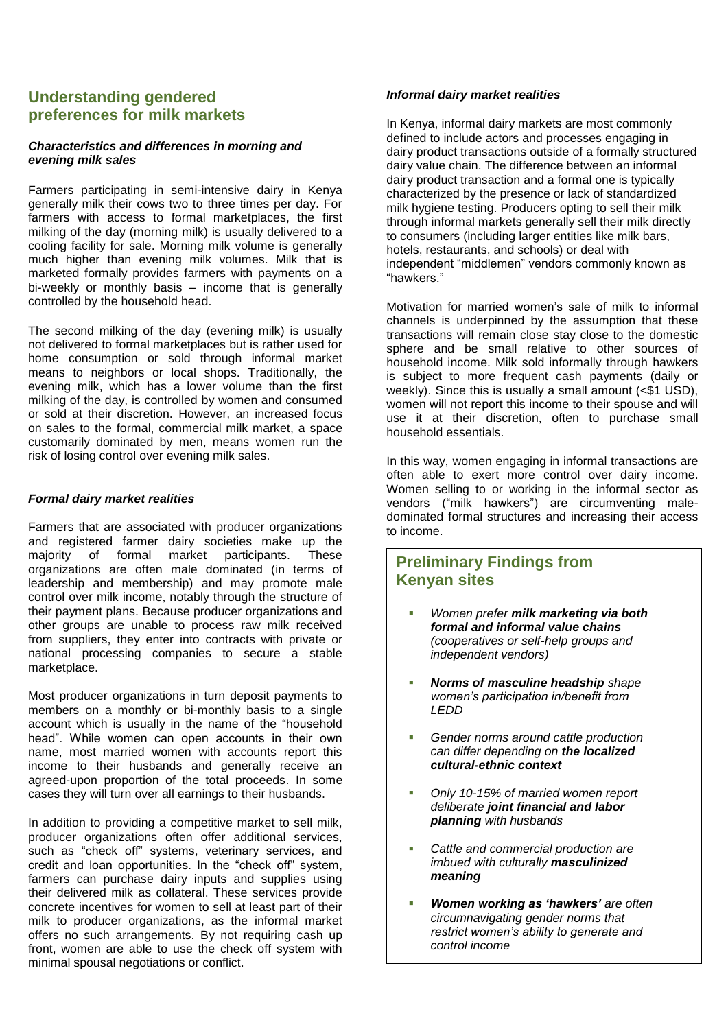#### **Understanding gendered preferences for milk markets**

#### *Characteristics and differences in morning and evening milk sales*

Farmers participating in semi-intensive dairy in Kenya generally milk their cows two to three times per day. For farmers with access to formal marketplaces, the first milking of the day (morning milk) is usually delivered to a cooling facility for sale. Morning milk volume is generally much higher than evening milk volumes. Milk that is marketed formally provides farmers with payments on a bi-weekly or monthly basis – income that is generally controlled by the household head.

The second milking of the day (evening milk) is usually not delivered to formal marketplaces but is rather used for home consumption or sold through informal market means to neighbors or local shops. Traditionally, the evening milk, which has a lower volume than the first milking of the day, is controlled by women and consumed or sold at their discretion. However, an increased focus on sales to the formal, commercial milk market, a space customarily dominated by men, means women run the risk of losing control over evening milk sales.

#### *Formal dairy market realities*

Farmers that are associated with producer organizations and registered farmer dairy societies make up the majority of formal market participants. These organizations are often male dominated (in terms of leadership and membership) and may promote male control over milk income, notably through the structure of their payment plans. Because producer organizations and other groups are unable to process raw milk received from suppliers, they enter into contracts with private or national processing companies to secure a stable marketplace.

Most producer organizations in turn deposit payments to members on a monthly or bi-monthly basis to a single account which is usually in the name of the "household head". While women can open accounts in their own name, most married women with accounts report this income to their husbands and generally receive an agreed-upon proportion of the total proceeds. In some cases they will turn over all earnings to their husbands.

In addition to providing a competitive market to sell milk, producer organizations often offer additional services, such as "check off" systems, veterinary services, and credit and loan opportunities. In the "check off" system, farmers can purchase dairy inputs and supplies using their delivered milk as collateral. These services provide concrete incentives for women to sell at least part of their milk to producer organizations, as the informal market offers no such arrangements. By not requiring cash up front, women are able to use the check off system with minimal spousal negotiations or conflict.

#### *Informal dairy market realities*

In Kenya, informal dairy markets are most commonly defined to include actors and processes engaging in dairy product transactions outside of a formally structured dairy value chain. The difference between an informal dairy product transaction and a formal one is typically characterized by the presence or lack of standardized milk hygiene testing. Producers opting to sell their milk through informal markets generally sell their milk directly to consumers (including larger entities like milk bars, hotels, restaurants, and schools) or deal with independent "middlemen" vendors commonly known as "hawkers."

Motivation for married women's sale of milk to informal channels is underpinned by the assumption that these transactions will remain close stay close to the domestic sphere and be small relative to other sources of household income. Milk sold informally through hawkers is subject to more frequent cash payments (daily or weekly). Since this is usually a small amount (<\$1 USD), women will not report this income to their spouse and will use it at their discretion, often to purchase small household essentials.

In this way, women engaging in informal transactions are often able to exert more control over dairy income. Women selling to or working in the informal sector as vendors ("milk hawkers") are circumventing maledominated formal structures and increasing their access to income.

#### **Preliminary Findings from Kenyan sites**

- *Women prefer milk marketing via both formal and informal value chains (cooperatives or self-help groups and independent vendors)*
- *Norms of masculine headship shape women's participation in/benefit from LEDD*
- *Gender norms around cattle production can differ depending on the localized cultural-ethnic context*
- *Only 10-15% of married women report deliberate joint financial and labor planning with husbands*
- *Cattle and commercial production are imbued with culturally masculinized meaning*
- *Women working as 'hawkers' are often circumnavigating gender norms that restrict women's ability to generate and control income*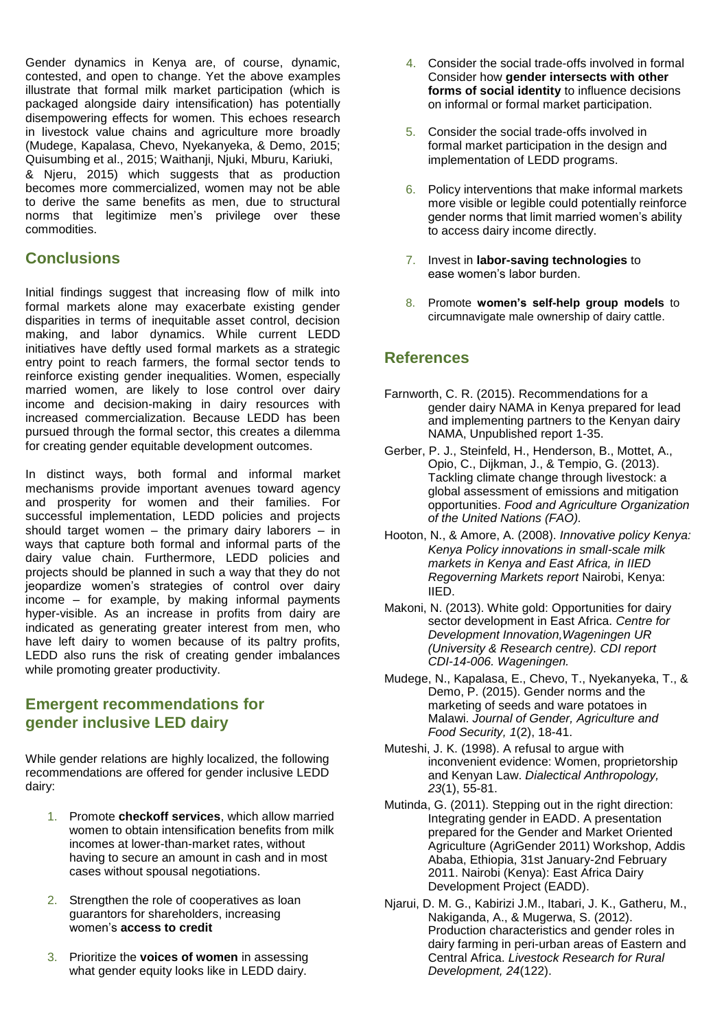Gender dynamics in Kenya are, of course, dynamic, contested, and open to change. Yet the above examples illustrate that formal milk market participation (which is packaged alongside dairy intensification) has potentially disempowering effects for women. This echoes research in livestock value chains and agriculture more broadly (Mudege, Kapalasa, Chevo, Nyekanyeka, & Demo, 2015; Quisumbing et al., 2015; Waithanji, Njuki, Mburu, Kariuki, & Njeru, 2015) which suggests that as production becomes more commercialized, women may not be able to derive the same benefits as men, due to structural norms that legitimize men's privilege over these commodities.

#### **Conclusions**

Initial findings suggest that increasing flow of milk into formal markets alone may exacerbate existing gender disparities in terms of inequitable asset control, decision making, and labor dynamics. While current LEDD initiatives have deftly used formal markets as a strategic entry point to reach farmers, the formal sector tends to reinforce existing gender inequalities. Women, especially married women, are likely to lose control over dairy income and decision-making in dairy resources with increased commercialization. Because LEDD has been pursued through the formal sector, this creates a dilemma for creating gender equitable development outcomes.

In distinct ways, both formal and informal market mechanisms provide important avenues toward agency and prosperity for women and their families. For successful implementation, LEDD policies and projects should target women – the primary dairy laborers – in ways that capture both formal and informal parts of the dairy value chain. Furthermore, LEDD policies and projects should be planned in such a way that they do not jeopardize women's strategies of control over dairy income – for example, by making informal payments hyper-visible. As an increase in profits from dairy are indicated as generating greater interest from men, who have left dairy to women because of its paltry profits, LEDD also runs the risk of creating gender imbalances while promoting greater productivity.

#### **Emergent recommendations for gender inclusive LED dairy**

While gender relations are highly localized, the following recommendations are offered for gender inclusive LEDD dairy:

- 1. Promote **checkoff services**, which allow married women to obtain intensification benefits from milk incomes at lower-than-market rates, without having to secure an amount in cash and in most cases without spousal negotiations.
- 2. Strengthen the role of cooperatives as loan guarantors for shareholders, increasing women's **access to credit**
- 3. Prioritize the **voices of women** in assessing what gender equity looks like in LEDD dairy.
- 4. Consider the social trade-offs involved in formal Consider how **gender intersects with other forms of social identity** to influence decisions on informal or formal market participation.
- 5. Consider the social trade-offs involved in formal market participation in the design and implementation of LEDD programs.
- 6. Policy interventions that make informal markets more visible or legible could potentially reinforce gender norms that limit married women's ability to access dairy income directly.
- 7. Invest in **labor-saving technologies** to ease women's labor burden.
- 8. Promote **women's self-help group models** to circumnavigate male ownership of dairy cattle.

#### **References**

- Farnworth, C. R. (2015). Recommendations for a gender dairy NAMA in Kenya prepared for lead and implementing partners to the Kenyan dairy NAMA, Unpublished report 1-35.
- Gerber, P. J., Steinfeld, H., Henderson, B., Mottet, A., Opio, C., Dijkman, J., & Tempio, G. (2013). Tackling climate change through livestock: a global assessment of emissions and mitigation opportunities. *Food and Agriculture Organization of the United Nations (FAO).*
- Hooton, N., & Amore, A. (2008). *Innovative policy Kenya: Kenya Policy innovations in small-scale milk markets in Kenya and East Africa, in IIED Regoverning Markets report* Nairobi, Kenya: IIED.
- Makoni, N. (2013). White gold: Opportunities for dairy sector development in East Africa. *Centre for Development Innovation,Wageningen UR (University & Research centre). CDI report CDI-14-006. Wageningen.*
- Mudege, N., Kapalasa, E., Chevo, T., Nyekanyeka, T., & Demo, P. (2015). Gender norms and the marketing of seeds and ware potatoes in Malawi. *Journal of Gender, Agriculture and Food Security, 1*(2), 18-41.
- Muteshi, J. K. (1998). A refusal to argue with inconvenient evidence: Women, proprietorship and Kenyan Law. *Dialectical Anthropology, 23*(1), 55-81.
- Mutinda, G. (2011). Stepping out in the right direction: Integrating gender in EADD. A presentation prepared for the Gender and Market Oriented Agriculture (AgriGender 2011) Workshop, Addis Ababa, Ethiopia, 31st January-2nd February 2011. Nairobi (Kenya): East Africa Dairy Development Project (EADD).
- Njarui, D. M. G., Kabirizi J.M., Itabari, J. K., Gatheru, M., Nakiganda, A., & Mugerwa, S. (2012). Production characteristics and gender roles in dairy farming in peri-urban areas of Eastern and Central Africa. *Livestock Research for Rural Development, 24*(122).